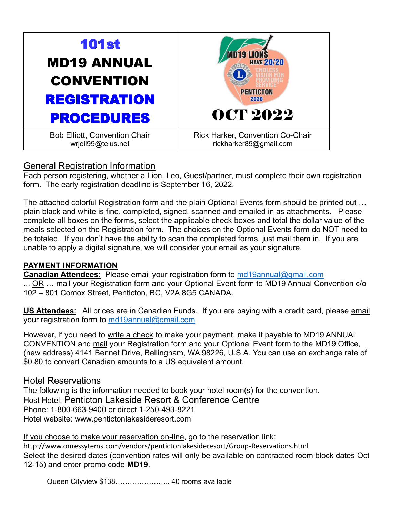

# General Registration Information

Each person registering, whether a Lion, Leo, Guest/partner, must complete their own registration form. The early registration deadline is September 16, 2022.

The attached colorful Registration form and the plain Optional Events form should be printed out … plain black and white is fine, completed, signed, scanned and emailed in as attachments. Please complete all boxes on the forms, select the applicable check boxes and total the dollar value of the meals selected on the Registration form. The choices on the Optional Events form do NOT need to be totaled. If you don't have the ability to scan the completed forms, just mail them in. If you are unable to apply a digital signature, we will consider your email as your signature.

## **PAYMENT INFORMATION**

**Canadian Attendees**: Please email your registration form to [md19annual@gmail.com](mailto:md19annual@gmail.com) ... OR … mail your Registration form and your Optional Event form to MD19 Annual Convention c/o 102 – 801 Comox Street, Penticton, BC, V2A 8G5 CANADA.

**US Attendees**: All prices are in Canadian Funds. If you are paying with a credit card, please email your registration form to [md19annual@gmail.com](mailto:md19annual@gmail.com)

However, if you need to write a check to make your payment, make it payable to MD19 ANNUAL CONVENTION and mail your Registration form and your Optional Event form to the MD19 Office, (new address) 4141 Bennet Drive, [Bellingham, WA 98226,](https://lionsmd19.org/contact.php) U.S.A. You can use an exchange rate of \$0.80 to convert Canadian amounts to a US equivalent amount.

## Hotel Reservations

The following is the information needed to book your hotel room(s) for the convention. Host Hotel: Penticton Lakeside Resort & Conference Centre Phone: 1-800-663-9400 or direct 1-250-493-8221 Hotel website: [www.pentictonlakesideresort.com](http://www.pentictonlakesideresort.com/) 

If you choose to make your reservation on-line, go to the reservation link: <http://www.onressytems.com/vendors/pentictonlakesideresort/Group-Reservations.html> Select the desired dates (convention rates will only be available on contracted room block dates Oct 12-15) and enter promo code **MD19**.

Queen Cityview \$138………………….. 40 rooms available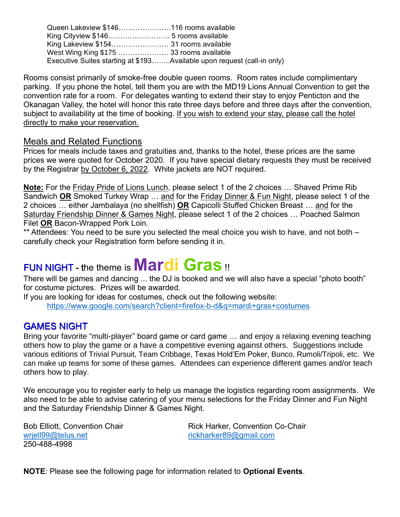Queen Lakeview \$146………………….116 rooms available King Cityview \$146…………………….. 5 rooms available King Lakeview \$154…………………… 31 rooms available West Wing King \$175 ………………… 33 rooms available Executive Suites starting at \$193……..Available upon request (call-in only)

Rooms consist primarily of smoke-free double queen rooms. Room rates include complimentary parking. If you phone the hotel, tell them you are with the MD19 Lions Annual Convention to get the convention rate for a room. For delegates wanting to extend their stay to enjoy Penticton and the Okanagan Valley, the hotel will honor this rate three days before and three days after the convention, subject to availability at the time of booking. If you wish to extend your stay, please call the hotel directly to make your reservation.

#### Meals and Related Functions

Prices for meals include taxes and gratuities and, thanks to the hotel, these prices are the same prices we were quoted for October 2020. If you have special dietary requests they must be received by the Registrar by October 6, 2022. White jackets are NOT required.

**Note:** For the Friday Pride of Lions Lunch, please select 1 of the 2 choices … Shaved Prime Rib Sandwich **OR** Smoked Turkey Wrap … and for the Friday Dinner & Fun Night, please select 1 of the 2 choices … either Jambalaya (no shellfish) **OR** Capicolli Stuffed Chicken Breast … and for the Saturday Friendship Dinner & Games Night, please select 1 of the 2 choices ... Poached Salmon Filet **OR** Bacon-Wrapped Pork Loin.

\*\* Attendees: You need to be sure you selected the meal choice you wish to have, and not both – carefully check your Registration form before sending it in.

# FUN NIGHT - the theme is **Mardi Gras** !!

There will be games and dancing ... the DJ is booked and we will also have a special "photo booth" for costume pictures. Prizes will be awarded.

If you are looking for ideas for costumes, check out the following website: <https://www.google.com/search?client=firefox-b-d&q=mardi+gras+costumes>

# GAMES NIGHT

Bring your favorite "multi-player" board game or card game … and enjoy a relaxing evening teaching others how to play the game or a have a competitive evening against others. Suggestions include various editions of Trivial Pursuit, Team Cribbage, Texas Hold'Em Poker, Bunco, Rumoli/Tripoli, etc. We can make up teams for some of these games. Attendees can experience different games and/or teach others how to play.

We encourage you to register early to help us manage the logistics regarding room assignments. We also need to be able to advise catering of your menu selections for the Friday Dinner and Fun Night and the Saturday Friendship Dinner & Games Night.

[wrjell99@telus.net](mailto:wrjell99@telus.net) [rickharker89@gmail.com](mailto:rickharker89@gmail.com) 250-488-4998

Bob Elliott, Convention Chair **Rick Harker, Convention Co-Chair** 

**NOTE**: Please see the following page for information related to **Optional Events**.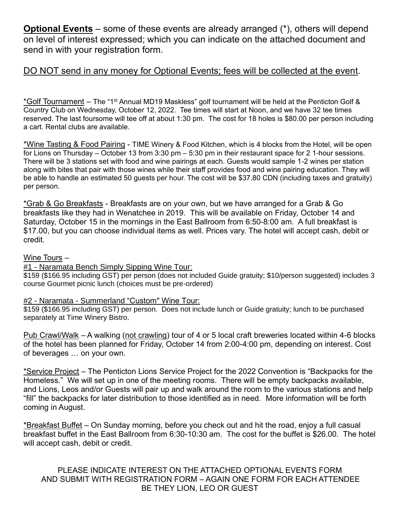**Optional Events** – some of these events are already arranged (\*), others will depend on level of interest expressed; which you can indicate on the attached document and send in with your registration form.

## DO NOT send in any money for Optional Events; fees will be collected at the event.

\*Golf Tournament – The "1st Annual MD19 Maskless" golf tournament will be held at the Penticton Golf & Country Club on Wednesday, October 12, 2022. Tee times will start at Noon, and we have 32 tee times reserved. The last foursome will tee off at about 1:30 pm. The cost for 18 holes is \$80.00 per person including a cart. Rental clubs are available.

\*Wine Tasting & Food Pairing - TIME Winery & Food Kitchen, which is 4 blocks from the Hotel, will be open for Lions on Thursday – October 13 from 3:30 pm – 5:30 pm in their restaurant space for 2 1-hour sessions. There will be 3 stations set with food and wine pairings at each. Guests would sample 1-2 wines per station along with bites that pair with those wines while their staff provides food and wine pairing education. They will be able to handle an estimated 50 guests per hour. The cost will be \$37.80 CDN (including taxes and gratuity) per person.

\*Grab & Go Breakfasts - Breakfasts are on your own, but we have arranged for a Grab & Go breakfasts like they had in Wenatchee in 2019. This will be available on Friday, October 14 and Saturday, October 15 in the mornings in the East Ballroom from 6:50-8:00 am. A full breakfast is \$17.00, but you can choose individual items as well. Prices vary. The hotel will accept cash, debit or credit.

#### Wine Tours –

#### #1 - Naramata Bench Simply Sipping Wine Tour:

\$159 (\$166.95 including GST) per person (does not included Guide gratuity; \$10/person suggested) includes 3 course Gourmet picnic lunch (choices must be pre-ordered)

#### #2 - Naramata - Summerland "Custom" Wine Tour:

\$159 (\$166.95 including GST) per person. Does not include lunch or Guide gratuity; lunch to be purchased separately at Time Winery Bistro.

Pub Crawl/Walk – A walking (not crawling) tour of 4 or 5 local craft breweries located within 4-6 blocks of the hotel has been planned for Friday, October 14 from 2:00-4:00 pm, depending on interest. Cost of beverages … on your own.

\*Service Project – The Penticton Lions Service Project for the 2022 Convention is "Backpacks for the Homeless." We will set up in one of the meeting rooms. There will be empty backpacks available, and Lions, Leos and/or Guests will pair up and walk around the room to the various stations and help "fill" the backpacks for later distribution to those identified as in need. More information will be forth coming in August.

\*Breakfast Buffet – On Sunday morning, before you check out and hit the road, enjoy a full casual breakfast buffet in the East Ballroom from 6:30-10:30 am. The cost for the buffet is \$26.00. The hotel will accept cash, debit or credit.

PLEASE INDICATE INTEREST ON THE ATTACHED OPTIONAL EVENTS FORM AND SUBMIT WITH REGISTRATION FORM – AGAIN ONE FORM FOR EACH ATTENDEE BE THEY LION, LEO OR GUEST